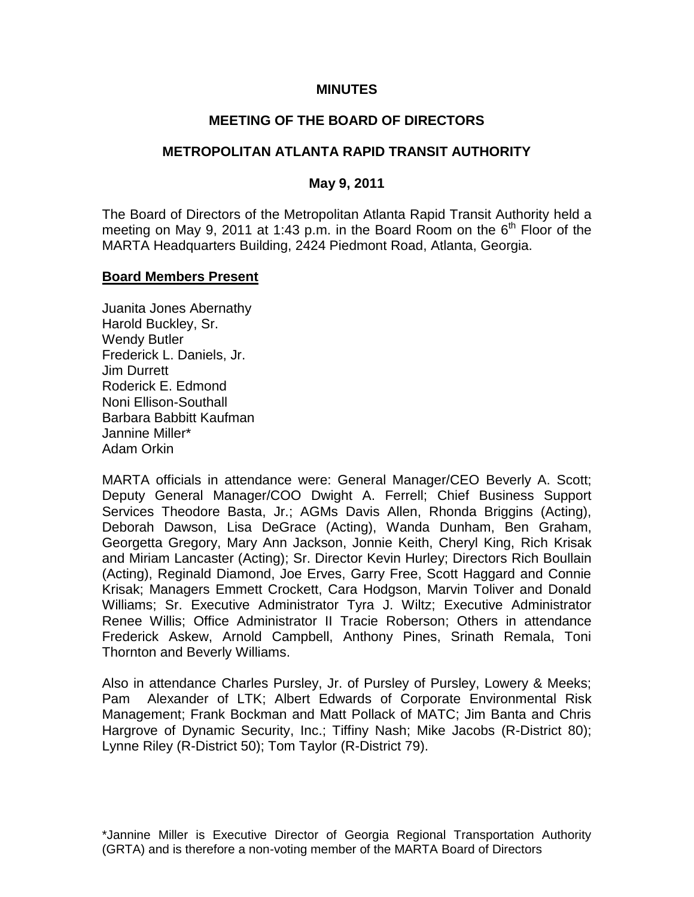#### **MINUTES**

# **MEETING OF THE BOARD OF DIRECTORS**

#### **METROPOLITAN ATLANTA RAPID TRANSIT AUTHORITY**

#### **May 9, 2011**

The Board of Directors of the Metropolitan Atlanta Rapid Transit Authority held a meeting on May 9, 2011 at 1:43 p.m. in the Board Room on the  $6<sup>th</sup>$  Floor of the MARTA Headquarters Building, 2424 Piedmont Road, Atlanta, Georgia.

#### **Board Members Present**

Juanita Jones Abernathy Harold Buckley, Sr. Wendy Butler Frederick L. Daniels, Jr. Jim Durrett Roderick E. Edmond Noni Ellison-Southall Barbara Babbitt Kaufman Jannine Miller\* Adam Orkin

MARTA officials in attendance were: General Manager/CEO Beverly A. Scott; Deputy General Manager/COO Dwight A. Ferrell; Chief Business Support Services Theodore Basta, Jr.; AGMs Davis Allen, Rhonda Briggins (Acting), Deborah Dawson, Lisa DeGrace (Acting), Wanda Dunham, Ben Graham, Georgetta Gregory, Mary Ann Jackson, Jonnie Keith, Cheryl King, Rich Krisak and Miriam Lancaster (Acting); Sr. Director Kevin Hurley; Directors Rich Boullain (Acting), Reginald Diamond, Joe Erves, Garry Free, Scott Haggard and Connie Krisak; Managers Emmett Crockett, Cara Hodgson, Marvin Toliver and Donald Williams; Sr. Executive Administrator Tyra J. Wiltz; Executive Administrator Renee Willis; Office Administrator II Tracie Roberson; Others in attendance Frederick Askew, Arnold Campbell, Anthony Pines, Srinath Remala, Toni Thornton and Beverly Williams.

Also in attendance Charles Pursley, Jr. of Pursley of Pursley, Lowery & Meeks; Pam Alexander of LTK; Albert Edwards of Corporate Environmental Risk Management; Frank Bockman and Matt Pollack of MATC; Jim Banta and Chris Hargrove of Dynamic Security, Inc.; Tiffiny Nash; Mike Jacobs (R-District 80); Lynne Riley (R-District 50); Tom Taylor (R-District 79).

\*Jannine Miller is Executive Director of Georgia Regional Transportation Authority (GRTA) and is therefore a non-voting member of the MARTA Board of Directors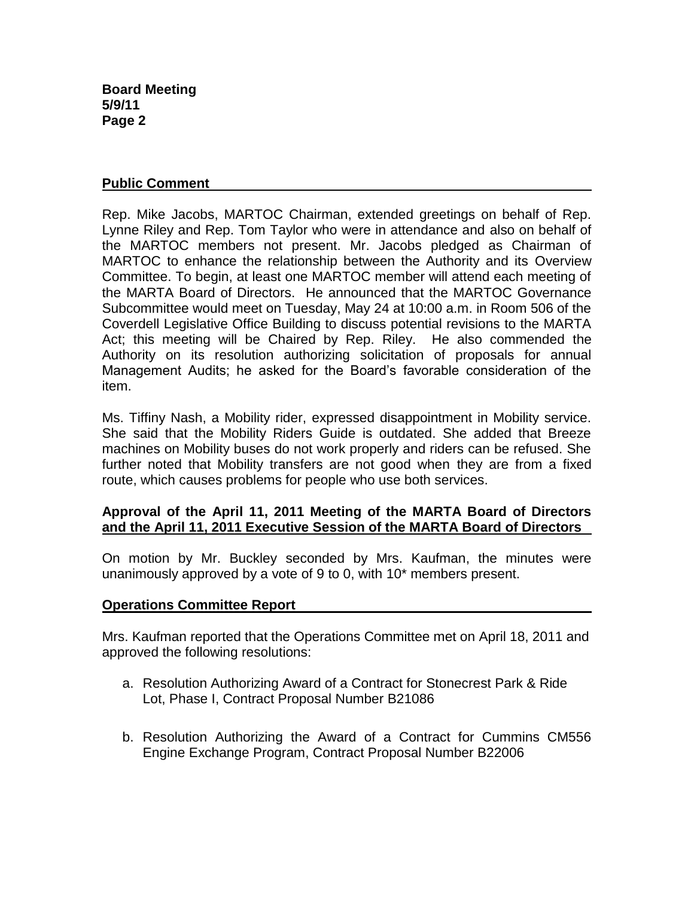# **Public Comment**

Rep. Mike Jacobs, MARTOC Chairman, extended greetings on behalf of Rep. Lynne Riley and Rep. Tom Taylor who were in attendance and also on behalf of the MARTOC members not present. Mr. Jacobs pledged as Chairman of MARTOC to enhance the relationship between the Authority and its Overview Committee. To begin, at least one MARTOC member will attend each meeting of the MARTA Board of Directors. He announced that the MARTOC Governance Subcommittee would meet on Tuesday, May 24 at 10:00 a.m. in Room 506 of the Coverdell Legislative Office Building to discuss potential revisions to the MARTA Act; this meeting will be Chaired by Rep. Riley. He also commended the Authority on its resolution authorizing solicitation of proposals for annual Management Audits; he asked for the Board's favorable consideration of the item.

Ms. Tiffiny Nash, a Mobility rider, expressed disappointment in Mobility service. She said that the Mobility Riders Guide is outdated. She added that Breeze machines on Mobility buses do not work properly and riders can be refused. She further noted that Mobility transfers are not good when they are from a fixed route, which causes problems for people who use both services.

# **Approval of the April 11, 2011 Meeting of the MARTA Board of Directors and the April 11, 2011 Executive Session of the MARTA Board of Directors**

On motion by Mr. Buckley seconded by Mrs. Kaufman, the minutes were unanimously approved by a vote of 9 to 0, with 10\* members present.

# **Operations Committee Report**

Mrs. Kaufman reported that the Operations Committee met on April 18, 2011 and approved the following resolutions:

- a. Resolution Authorizing Award of a Contract for Stonecrest Park & Ride Lot, Phase I, Contract Proposal Number B21086
- b. Resolution Authorizing the Award of a Contract for Cummins CM556 Engine Exchange Program, Contract Proposal Number B22006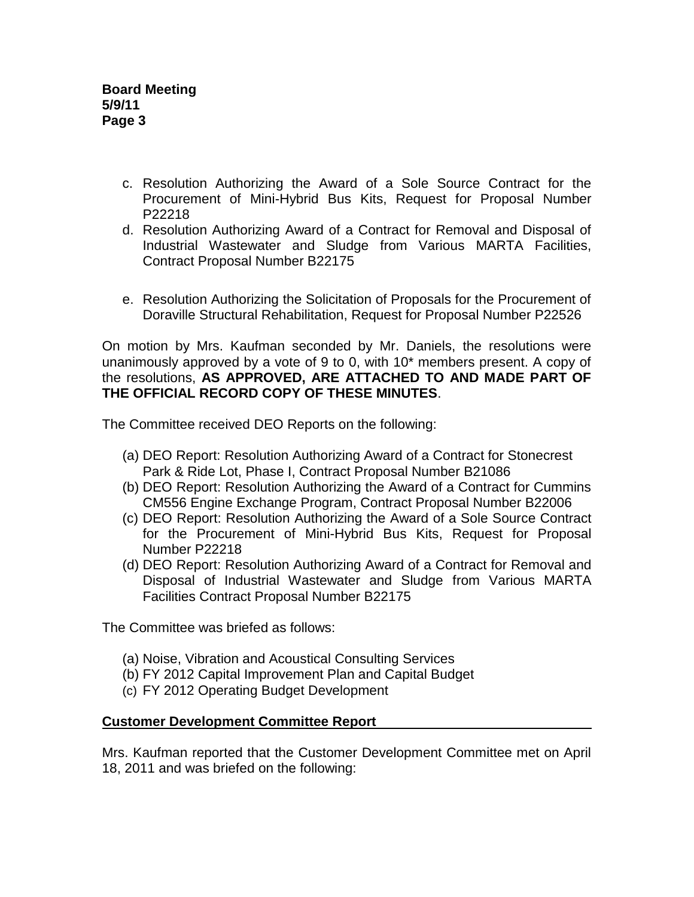- c. Resolution Authorizing the Award of a Sole Source Contract for the Procurement of Mini-Hybrid Bus Kits, Request for Proposal Number P22218
- d. Resolution Authorizing Award of a Contract for Removal and Disposal of Industrial Wastewater and Sludge from Various MARTA Facilities, Contract Proposal Number B22175
- e. Resolution Authorizing the Solicitation of Proposals for the Procurement of Doraville Structural Rehabilitation, Request for Proposal Number P22526

On motion by Mrs. Kaufman seconded by Mr. Daniels, the resolutions were unanimously approved by a vote of 9 to 0, with 10\* members present. A copy of the resolutions, **AS APPROVED, ARE ATTACHED TO AND MADE PART OF THE OFFICIAL RECORD COPY OF THESE MINUTES**.

The Committee received DEO Reports on the following:

- (a) DEO Report: Resolution Authorizing Award of a Contract for Stonecrest Park & Ride Lot, Phase I, Contract Proposal Number B21086
- (b) DEO Report: Resolution Authorizing the Award of a Contract for Cummins CM556 Engine Exchange Program, Contract Proposal Number B22006
- (c) DEO Report: Resolution Authorizing the Award of a Sole Source Contract for the Procurement of Mini-Hybrid Bus Kits, Request for Proposal Number P22218
- (d) DEO Report: Resolution Authorizing Award of a Contract for Removal and Disposal of Industrial Wastewater and Sludge from Various MARTA Facilities Contract Proposal Number B22175

The Committee was briefed as follows:

- (a) Noise, Vibration and Acoustical Consulting Services
- (b) FY 2012 Capital Improvement Plan and Capital Budget
- (c) FY 2012 Operating Budget Development

# **Customer Development Committee Report**

Mrs. Kaufman reported that the Customer Development Committee met on April 18, 2011 and was briefed on the following: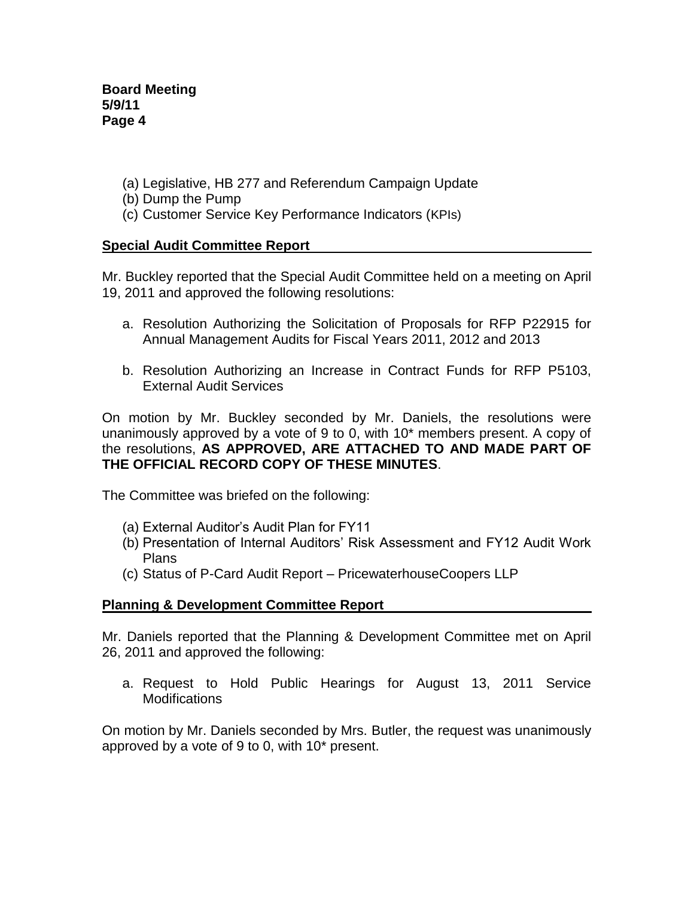- (a) Legislative, HB 277 and Referendum Campaign Update
- (b) Dump the Pump
- (c) Customer Service Key Performance Indicators (KPIs)

# **Special Audit Committee Report**

Mr. Buckley reported that the Special Audit Committee held on a meeting on April 19, 2011 and approved the following resolutions:

- a. Resolution Authorizing the Solicitation of Proposals for RFP P22915 for Annual Management Audits for Fiscal Years 2011, 2012 and 2013
- b. Resolution Authorizing an Increase in Contract Funds for RFP P5103, External Audit Services

On motion by Mr. Buckley seconded by Mr. Daniels, the resolutions were unanimously approved by a vote of 9 to 0, with 10\* members present. A copy of the resolutions, **AS APPROVED, ARE ATTACHED TO AND MADE PART OF THE OFFICIAL RECORD COPY OF THESE MINUTES**.

The Committee was briefed on the following:

- (a) External Auditor's Audit Plan for FY11
- (b) Presentation of Internal Auditors' Risk Assessment and FY12 Audit Work Plans
- (c) Status of P-Card Audit Report PricewaterhouseCoopers LLP

# **Planning & Development Committee Report**

Mr. Daniels reported that the Planning & Development Committee met on April 26, 2011 and approved the following:

a. Request to Hold Public Hearings for August 13, 2011 Service **Modifications** 

On motion by Mr. Daniels seconded by Mrs. Butler, the request was unanimously approved by a vote of 9 to 0, with 10\* present.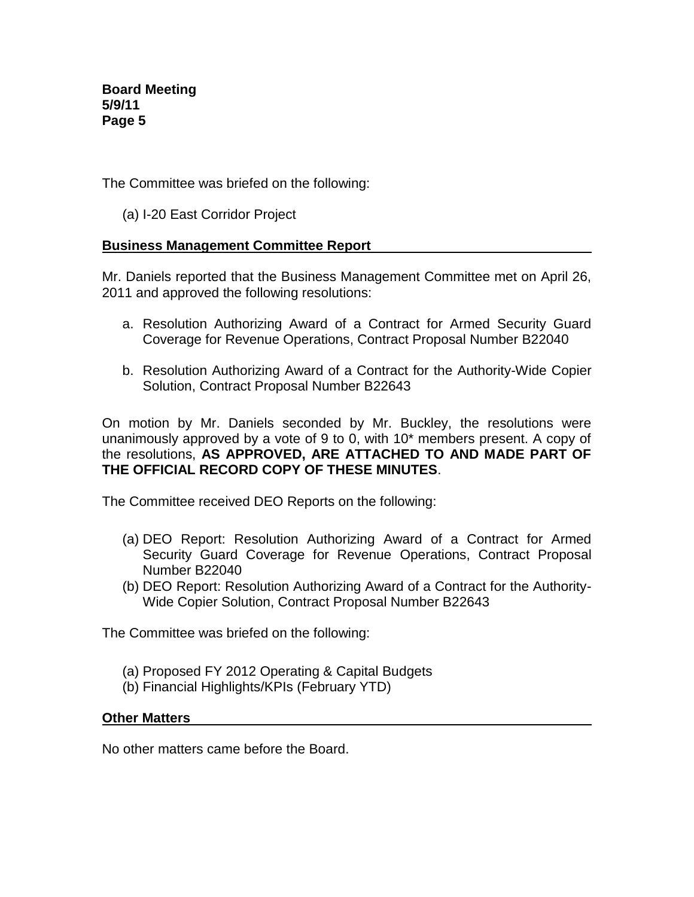The Committee was briefed on the following:

(a) I-20 East Corridor Project

# **Business Management Committee Report**

Mr. Daniels reported that the Business Management Committee met on April 26, 2011 and approved the following resolutions:

- a. Resolution Authorizing Award of a Contract for Armed Security Guard Coverage for Revenue Operations, Contract Proposal Number B22040
- b. Resolution Authorizing Award of a Contract for the Authority-Wide Copier Solution, Contract Proposal Number B22643

On motion by Mr. Daniels seconded by Mr. Buckley, the resolutions were unanimously approved by a vote of 9 to 0, with 10\* members present. A copy of the resolutions, **AS APPROVED, ARE ATTACHED TO AND MADE PART OF THE OFFICIAL RECORD COPY OF THESE MINUTES**.

The Committee received DEO Reports on the following:

- (a) DEO Report: Resolution Authorizing Award of a Contract for Armed Security Guard Coverage for Revenue Operations, Contract Proposal Number B22040
- (b) DEO Report: Resolution Authorizing Award of a Contract for the Authority-Wide Copier Solution, Contract Proposal Number B22643

The Committee was briefed on the following:

- (a) Proposed FY 2012 Operating & Capital Budgets
- (b) Financial Highlights/KPIs (February YTD)

#### **Other Matters**

No other matters came before the Board.